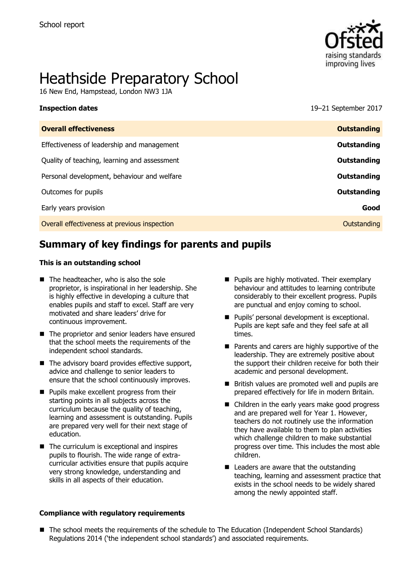

# Heathside Preparatory School

16 New End, Hampstead, London NW3 1JA

| <b>Inspection dates</b> | 19-21 September 2017 |
|-------------------------|----------------------|
|                         |                      |

| <b>Overall effectiveness</b>                 | <b>Outstanding</b> |
|----------------------------------------------|--------------------|
| Effectiveness of leadership and management   | Outstanding        |
| Quality of teaching, learning and assessment | Outstanding        |
| Personal development, behaviour and welfare  | Outstanding        |
| Outcomes for pupils                          | <b>Outstanding</b> |
| Early years provision                        | Good               |
| Overall effectiveness at previous inspection | Outstanding        |
|                                              |                    |

# **Summary of key findings for parents and pupils**

#### **This is an outstanding school**

- The headteacher, who is also the sole proprietor, is inspirational in her leadership. She is highly effective in developing a culture that enables pupils and staff to excel. Staff are very motivated and share leaders' drive for continuous improvement.
- The proprietor and senior leaders have ensured that the school meets the requirements of the independent school standards.
- $\blacksquare$  The advisory board provides effective support, advice and challenge to senior leaders to ensure that the school continuously improves.
- **Pupils make excellent progress from their** starting points in all subjects across the curriculum because the quality of teaching, learning and assessment is outstanding. Pupils are prepared very well for their next stage of education.
- $\blacksquare$  The curriculum is exceptional and inspires pupils to flourish. The wide range of extracurricular activities ensure that pupils acquire very strong knowledge, understanding and skills in all aspects of their education.
- **Compliance with regulatory requirements**
- **Pupils are highly motivated. Their exemplary** behaviour and attitudes to learning contribute considerably to their excellent progress. Pupils are punctual and enjoy coming to school.
- **Pupils' personal development is exceptional.** Pupils are kept safe and they feel safe at all times.
- **Parents and carers are highly supportive of the** leadership. They are extremely positive about the support their children receive for both their academic and personal development.
- British values are promoted well and pupils are prepared effectively for life in modern Britain.
- Children in the early years make good progress and are prepared well for Year 1. However, teachers do not routinely use the information they have available to them to plan activities which challenge children to make substantial progress over time. This includes the most able children.
- Leaders are aware that the outstanding teaching, learning and assessment practice that exists in the school needs to be widely shared among the newly appointed staff.
- The school meets the requirements of the schedule to The Education (Independent School Standards) Regulations 2014 ('the independent school standards') and associated requirements.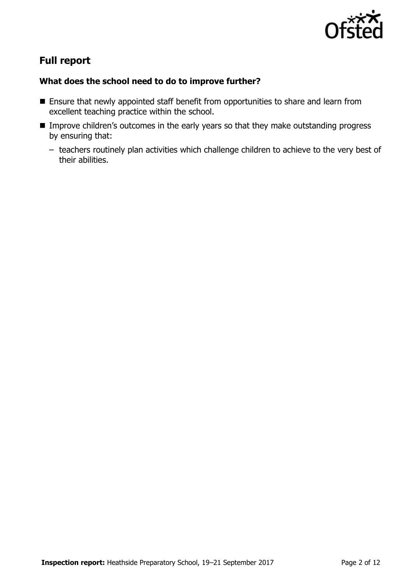

# **Full report**

### **What does the school need to do to improve further?**

- **Ensure that newly appointed staff benefit from opportunities to share and learn from** excellent teaching practice within the school.
- **IMPROVE CHILD THEORY CONTEGRATION IS EXECUTED MAKE OF LIM** Improve children's outstanding progress by ensuring that:
	- teachers routinely plan activities which challenge children to achieve to the very best of their abilities.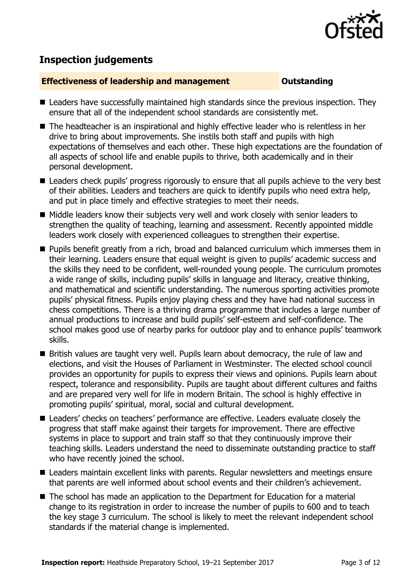

# **Inspection judgements**

#### **Effectiveness of leadership and management COUNGITY COUNTS OUTSTANDING**

- Leaders have successfully maintained high standards since the previous inspection. They ensure that all of the independent school standards are consistently met.
- The headteacher is an inspirational and highly effective leader who is relentless in her drive to bring about improvements. She instils both staff and pupils with high expectations of themselves and each other. These high expectations are the foundation of all aspects of school life and enable pupils to thrive, both academically and in their personal development.
- Leaders check pupils' progress rigorously to ensure that all pupils achieve to the very best of their abilities. Leaders and teachers are quick to identify pupils who need extra help, and put in place timely and effective strategies to meet their needs.
- Middle leaders know their subjects very well and work closely with senior leaders to strengthen the quality of teaching, learning and assessment. Recently appointed middle leaders work closely with experienced colleagues to strengthen their expertise.
- **Pupils benefit greatly from a rich, broad and balanced curriculum which immerses them in** their learning. Leaders ensure that equal weight is given to pupils' academic success and the skills they need to be confident, well-rounded young people. The curriculum promotes a wide range of skills, including pupils' skills in language and literacy, creative thinking, and mathematical and scientific understanding. The numerous sporting activities promote pupils' physical fitness. Pupils enjoy playing chess and they have had national success in chess competitions. There is a thriving drama programme that includes a large number of annual productions to increase and build pupils' self-esteem and self-confidence. The school makes good use of nearby parks for outdoor play and to enhance pupils' teamwork skills.
- **British values are taught very well. Pupils learn about democracy, the rule of law and** elections, and visit the Houses of Parliament in Westminster. The elected school council provides an opportunity for pupils to express their views and opinions. Pupils learn about respect, tolerance and responsibility. Pupils are taught about different cultures and faiths and are prepared very well for life in modern Britain. The school is highly effective in promoting pupils' spiritual, moral, social and cultural development.
- Leaders' checks on teachers' performance are effective. Leaders evaluate closely the progress that staff make against their targets for improvement. There are effective systems in place to support and train staff so that they continuously improve their teaching skills. Leaders understand the need to disseminate outstanding practice to staff who have recently joined the school.
- Leaders maintain excellent links with parents. Regular newsletters and meetings ensure that parents are well informed about school events and their children's achievement.
- The school has made an application to the Department for Education for a material change to its registration in order to increase the number of pupils to 600 and to teach the key stage 3 curriculum. The school is likely to meet the relevant independent school standards if the material change is implemented.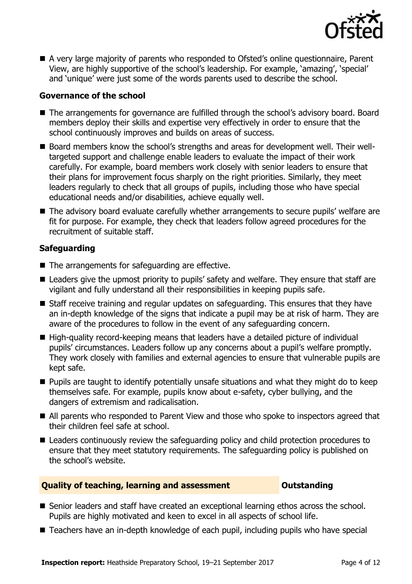

■ A very large majority of parents who responded to Ofsted's online questionnaire, Parent View, are highly supportive of the school's leadership. For example, 'amazing', 'special' and 'unique' were just some of the words parents used to describe the school.

### **Governance of the school**

- The arrangements for governance are fulfilled through the school's advisory board. Board members deploy their skills and expertise very effectively in order to ensure that the school continuously improves and builds on areas of success.
- Board members know the school's strengths and areas for development well. Their welltargeted support and challenge enable leaders to evaluate the impact of their work carefully. For example, board members work closely with senior leaders to ensure that their plans for improvement focus sharply on the right priorities. Similarly, they meet leaders regularly to check that all groups of pupils, including those who have special educational needs and/or disabilities, achieve equally well.
- The advisory board evaluate carefully whether arrangements to secure pupils' welfare are fit for purpose. For example, they check that leaders follow agreed procedures for the recruitment of suitable staff.

### **Safeguarding**

- The arrangements for safeguarding are effective.
- Leaders give the upmost priority to pupils' safety and welfare. They ensure that staff are vigilant and fully understand all their responsibilities in keeping pupils safe.
- Staff receive training and regular updates on safeguarding. This ensures that they have an in-depth knowledge of the signs that indicate a pupil may be at risk of harm. They are aware of the procedures to follow in the event of any safeguarding concern.
- High-quality record-keeping means that leaders have a detailed picture of individual pupils' circumstances. Leaders follow up any concerns about a pupil's welfare promptly. They work closely with families and external agencies to ensure that vulnerable pupils are kept safe.
- $\blacksquare$  Pupils are taught to identify potentially unsafe situations and what they might do to keep themselves safe. For example, pupils know about e-safety, cyber bullying, and the dangers of extremism and radicalisation.
- All parents who responded to Parent View and those who spoke to inspectors agreed that their children feel safe at school.
- Leaders continuously review the safeguarding policy and child protection procedures to ensure that they meet statutory requirements. The safeguarding policy is published on the school's website.

### **Quality of teaching, learning and assessment Outstanding**

- Senior leaders and staff have created an exceptional learning ethos across the school. Pupils are highly motivated and keen to excel in all aspects of school life.
- Teachers have an in-depth knowledge of each pupil, including pupils who have special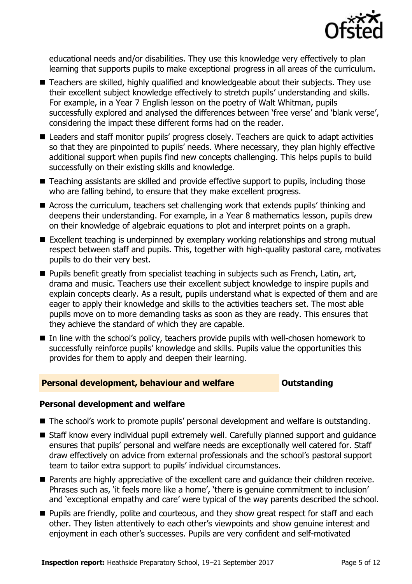

educational needs and/or disabilities. They use this knowledge very effectively to plan learning that supports pupils to make exceptional progress in all areas of the curriculum.

- Teachers are skilled, highly qualified and knowledgeable about their subjects. They use their excellent subject knowledge effectively to stretch pupils' understanding and skills. For example, in a Year 7 English lesson on the poetry of Walt Whitman, pupils successfully explored and analysed the differences between 'free verse' and 'blank verse', considering the impact these different forms had on the reader.
- Leaders and staff monitor pupils' progress closely. Teachers are quick to adapt activities so that they are pinpointed to pupils' needs. Where necessary, they plan highly effective additional support when pupils find new concepts challenging. This helps pupils to build successfully on their existing skills and knowledge.
- Teaching assistants are skilled and provide effective support to pupils, including those who are falling behind, to ensure that they make excellent progress.
- Across the curriculum, teachers set challenging work that extends pupils' thinking and deepens their understanding. For example, in a Year 8 mathematics lesson, pupils drew on their knowledge of algebraic equations to plot and interpret points on a graph.
- Excellent teaching is underpinned by exemplary working relationships and strong mutual respect between staff and pupils. This, together with high-quality pastoral care, motivates pupils to do their very best.
- **Pupils benefit greatly from specialist teaching in subjects such as French, Latin, art,** drama and music. Teachers use their excellent subject knowledge to inspire pupils and explain concepts clearly. As a result, pupils understand what is expected of them and are eager to apply their knowledge and skills to the activities teachers set. The most able pupils move on to more demanding tasks as soon as they are ready. This ensures that they achieve the standard of which they are capable.
- In line with the school's policy, teachers provide pupils with well-chosen homework to successfully reinforce pupils' knowledge and skills. Pupils value the opportunities this provides for them to apply and deepen their learning.

#### **Personal development, behaviour and welfare <b>COUNG COULDER** Dutstanding

#### **Personal development and welfare**

- The school's work to promote pupils' personal development and welfare is outstanding.
- Staff know every individual pupil extremely well. Carefully planned support and guidance ensures that pupils' personal and welfare needs are exceptionally well catered for. Staff draw effectively on advice from external professionals and the school's pastoral support team to tailor extra support to pupils' individual circumstances.
- **Parents are highly appreciative of the excellent care and guidance their children receive.** Phrases such as, 'it feels more like a home', 'there is genuine commitment to inclusion' and 'exceptional empathy and care' were typical of the way parents described the school.
- **Pupils are friendly, polite and courteous, and they show great respect for staff and each** other. They listen attentively to each other's viewpoints and show genuine interest and enjoyment in each other's successes. Pupils are very confident and self-motivated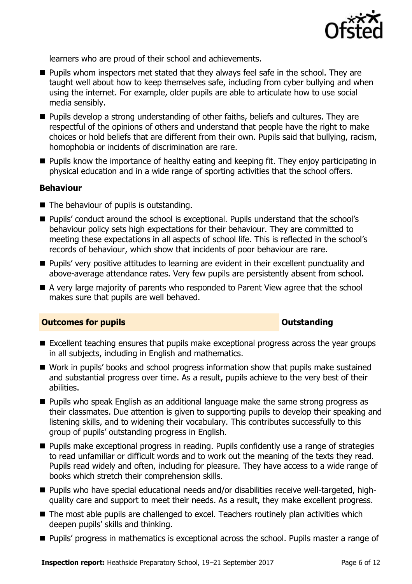

learners who are proud of their school and achievements.

- **Pupils whom inspectors met stated that they always feel safe in the school. They are** taught well about how to keep themselves safe, including from cyber bullying and when using the internet. For example, older pupils are able to articulate how to use social media sensibly.
- **Pupils develop a strong understanding of other faiths, beliefs and cultures. They are** respectful of the opinions of others and understand that people have the right to make choices or hold beliefs that are different from their own. Pupils said that bullying, racism, homophobia or incidents of discrimination are rare.
- **Pupils know the importance of healthy eating and keeping fit. They enjoy participating in** physical education and in a wide range of sporting activities that the school offers.

#### **Behaviour**

- The behaviour of pupils is outstanding.
- Pupils' conduct around the school is exceptional. Pupils understand that the school's behaviour policy sets high expectations for their behaviour. They are committed to meeting these expectations in all aspects of school life. This is reflected in the school's records of behaviour, which show that incidents of poor behaviour are rare.
- Pupils' very positive attitudes to learning are evident in their excellent punctuality and above-average attendance rates. Very few pupils are persistently absent from school.
- A very large majority of parents who responded to Parent View agree that the school makes sure that pupils are well behaved.

#### **Outcomes for pupils Outstanding**

- Excellent teaching ensures that pupils make exceptional progress across the year groups in all subjects, including in English and mathematics.
- Work in pupils' books and school progress information show that pupils make sustained and substantial progress over time. As a result, pupils achieve to the very best of their abilities.
- **Pupils who speak English as an additional language make the same strong progress as** their classmates. Due attention is given to supporting pupils to develop their speaking and listening skills, and to widening their vocabulary. This contributes successfully to this group of pupils' outstanding progress in English.
- **Pupils make exceptional progress in reading. Pupils confidently use a range of strategies** to read unfamiliar or difficult words and to work out the meaning of the texts they read. Pupils read widely and often, including for pleasure. They have access to a wide range of books which stretch their comprehension skills.
- Pupils who have special educational needs and/or disabilities receive well-targeted, highquality care and support to meet their needs. As a result, they make excellent progress.
- The most able pupils are challenged to excel. Teachers routinely plan activities which deepen pupils' skills and thinking.
- **Pupils' progress in mathematics is exceptional across the school. Pupils master a range of**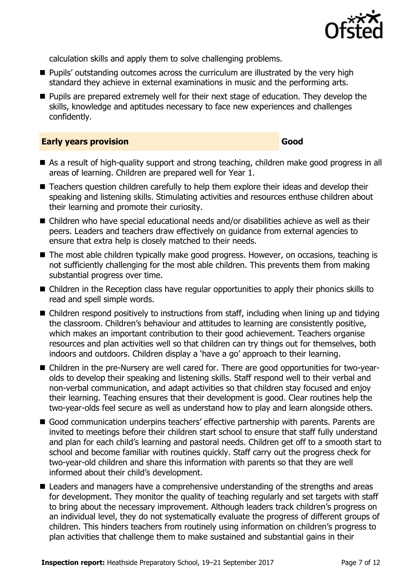

calculation skills and apply them to solve challenging problems.

- **Pupils'** outstanding outcomes across the curriculum are illustrated by the very high standard they achieve in external examinations in music and the performing arts.
- **Pupils are prepared extremely well for their next stage of education. They develop the** skills, knowledge and aptitudes necessary to face new experiences and challenges confidently.

#### **Early years provision Good Good**

- As a result of high-quality support and strong teaching, children make good progress in all areas of learning. Children are prepared well for Year 1.
- Teachers question children carefully to help them explore their ideas and develop their speaking and listening skills. Stimulating activities and resources enthuse children about their learning and promote their curiosity.
- Children who have special educational needs and/or disabilities achieve as well as their peers. Leaders and teachers draw effectively on guidance from external agencies to ensure that extra help is closely matched to their needs.
- The most able children typically make good progress. However, on occasions, teaching is not sufficiently challenging for the most able children. This prevents them from making substantial progress over time.
- Children in the Reception class have regular opportunities to apply their phonics skills to read and spell simple words.
- $\blacksquare$  Children respond positively to instructions from staff, including when lining up and tidying the classroom. Children's behaviour and attitudes to learning are consistently positive, which makes an important contribution to their good achievement. Teachers organise resources and plan activities well so that children can try things out for themselves, both indoors and outdoors. Children display a 'have a go' approach to their learning.
- Children in the pre-Nursery are well cared for. There are good opportunities for two-yearolds to develop their speaking and listening skills. Staff respond well to their verbal and non-verbal communication, and adapt activities so that children stay focused and enjoy their learning. Teaching ensures that their development is good. Clear routines help the two-year-olds feel secure as well as understand how to play and learn alongside others.
- Good communication underpins teachers' effective partnership with parents. Parents are invited to meetings before their children start school to ensure that staff fully understand and plan for each child's learning and pastoral needs. Children get off to a smooth start to school and become familiar with routines quickly. Staff carry out the progress check for two-year-old children and share this information with parents so that they are well informed about their child's development.
- Leaders and managers have a comprehensive understanding of the strengths and areas for development. They monitor the quality of teaching regularly and set targets with staff to bring about the necessary improvement. Although leaders track children's progress on an individual level, they do not systematically evaluate the progress of different groups of children. This hinders teachers from routinely using information on children's progress to plan activities that challenge them to make sustained and substantial gains in their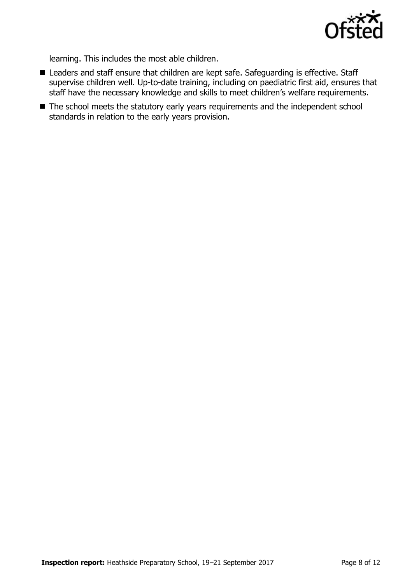

learning. This includes the most able children.

- Leaders and staff ensure that children are kept safe. Safeguarding is effective. Staff supervise children well. Up-to-date training, including on paediatric first aid, ensures that staff have the necessary knowledge and skills to meet children's welfare requirements.
- The school meets the statutory early years requirements and the independent school standards in relation to the early years provision.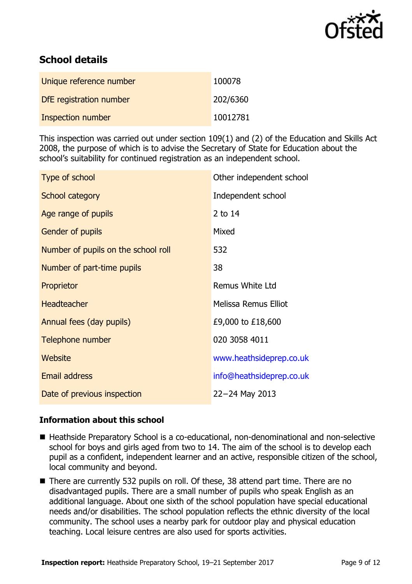

# **School details**

| Unique reference number  | 100078   |
|--------------------------|----------|
| DfE registration number  | 202/6360 |
| <b>Inspection number</b> | 10012781 |

This inspection was carried out under section 109(1) and (2) of the Education and Skills Act 2008, the purpose of which is to advise the Secretary of State for Education about the school's suitability for continued registration as an independent school.

| Type of school                      | Other independent school    |
|-------------------------------------|-----------------------------|
| School category                     | Independent school          |
| Age range of pupils                 | 2 to 14                     |
| Gender of pupils                    | Mixed                       |
| Number of pupils on the school roll | 532                         |
| Number of part-time pupils          | 38                          |
| Proprietor                          | <b>Remus White Ltd</b>      |
| <b>Headteacher</b>                  | <b>Melissa Remus Elliot</b> |
| Annual fees (day pupils)            | £9,000 to £18,600           |
| Telephone number                    | 020 3058 4011               |
| Website                             | www.heathsideprep.co.uk     |
| <b>Email address</b>                | info@heathsideprep.co.uk    |
| Date of previous inspection         | 22-24 May 2013              |

#### **Information about this school**

- Heathside Preparatory School is a co-educational, non-denominational and non-selective school for boys and girls aged from two to 14. The aim of the school is to develop each pupil as a confident, independent learner and an active, responsible citizen of the school, local community and beyond.
- There are currently 532 pupils on roll. Of these, 38 attend part time. There are no disadvantaged pupils. There are a small number of pupils who speak English as an additional language. About one sixth of the school population have special educational needs and/or disabilities. The school population reflects the ethnic diversity of the local community. The school uses a nearby park for outdoor play and physical education teaching. Local leisure centres are also used for sports activities.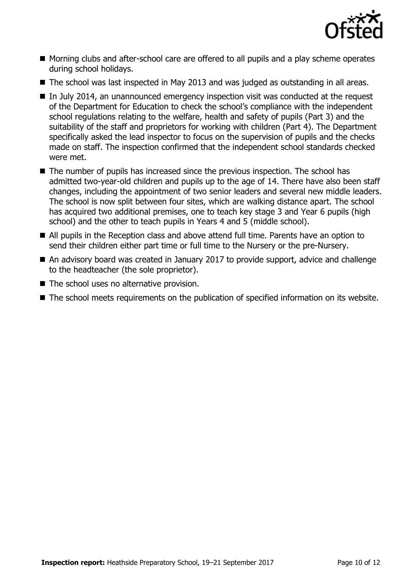

- Morning clubs and after-school care are offered to all pupils and a play scheme operates during school holidays.
- The school was last inspected in May 2013 and was judged as outstanding in all areas.
- In July 2014, an unannounced emergency inspection visit was conducted at the request of the Department for Education to check the school's compliance with the independent school regulations relating to the welfare, health and safety of pupils (Part 3) and the suitability of the staff and proprietors for working with children (Part 4). The Department specifically asked the lead inspector to focus on the supervision of pupils and the checks made on staff. The inspection confirmed that the independent school standards checked were met.
- The number of pupils has increased since the previous inspection. The school has admitted two-year-old children and pupils up to the age of 14. There have also been staff changes, including the appointment of two senior leaders and several new middle leaders. The school is now split between four sites, which are walking distance apart. The school has acquired two additional premises, one to teach key stage 3 and Year 6 pupils (high school) and the other to teach pupils in Years 4 and 5 (middle school).
- All pupils in the Reception class and above attend full time. Parents have an option to send their children either part time or full time to the Nursery or the pre-Nursery.
- An advisory board was created in January 2017 to provide support, advice and challenge to the headteacher (the sole proprietor).
- The school uses no alternative provision.
- The school meets requirements on the publication of specified information on its website.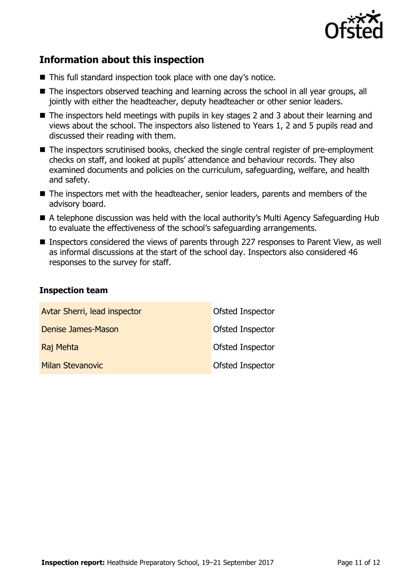

# **Information about this inspection**

- This full standard inspection took place with one day's notice.
- The inspectors observed teaching and learning across the school in all year groups, all jointly with either the headteacher, deputy headteacher or other senior leaders.
- The inspectors held meetings with pupils in key stages 2 and 3 about their learning and views about the school. The inspectors also listened to Years 1, 2 and 5 pupils read and discussed their reading with them.
- The inspectors scrutinised books, checked the single central register of pre-employment checks on staff, and looked at pupils' attendance and behaviour records. They also examined documents and policies on the curriculum, safeguarding, welfare, and health and safety.
- The inspectors met with the headteacher, senior leaders, parents and members of the advisory board.
- A telephone discussion was held with the local authority's Multi Agency Safeguarding Hub to evaluate the effectiveness of the school's safeguarding arrangements.
- Inspectors considered the views of parents through 227 responses to Parent View, as well as informal discussions at the start of the school day. Inspectors also considered 46 responses to the survey for staff.

#### **Inspection team**

| Avtar Sherri, lead inspector | Ofsted Inspector |
|------------------------------|------------------|
| Denise James-Mason           | Ofsted Inspector |
| Raj Mehta                    | Ofsted Inspector |
| <b>Milan Stevanovic</b>      | Ofsted Inspector |